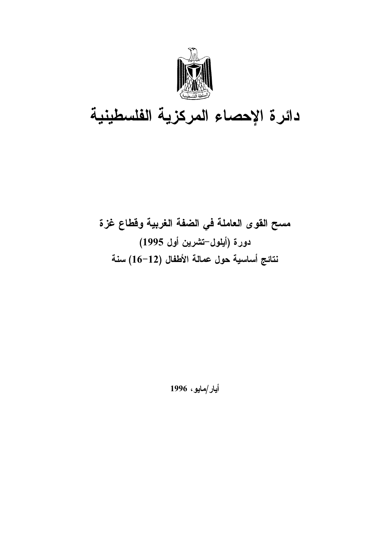

# دائرة الإحصاء المركزية الفلسطينية

# مسح القوى العاملة في الضفة الغربية وقطاع غزة دورة (أيلول–تشرين أول 1995) نتائج أساسية حول عمالة الأطفال (12–16) سنة

أيار/مايو، 1996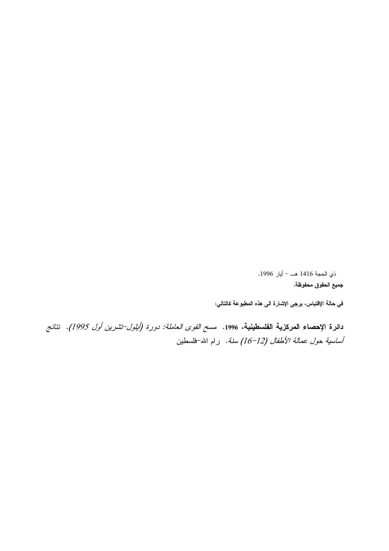© ذي الحجة 1416 هـــ – أيار 1996. جميع الحقوق محفوظة.

في حالـة الإفتنباس، يرجى الإشارة الـى هذه المطبوعة كالتالـي:

دائرة الإحصاء العركزية الفلسطينية، 1996. *مسح القوى العاملة: دورة (أيلول–تشرين أول 1995). نتائج* أساسية حول عمالة الأطفال (12–16) سنة. رام الله-فلسطين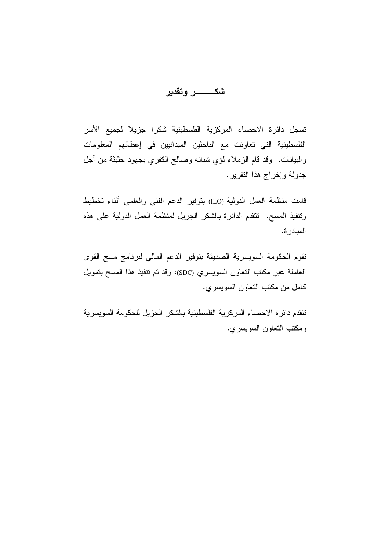تسجل دائرة الاحصاء المركزية الفلسطينية شكرا جزيلا لجميع الأسر الفلسطينية التي تعاونت مع الباحثين الميدانيين في إعطائهم المعلومات والبيانات. وقد قام الزملاء لؤي شبانه وصالح الكفري بجهود حثيثة من أجل جدولة وإخراج هذا النقرير.

قامت منظمة العمل الدولية (ILO) بتوفير الدعم الفني والعلمي أثناء تخطيط ونتفيذ المسح. نتقدم الدائرة بالشكر الجزيل لمنظمة العمل الدولية على هذه المبادر ة.

تقوم الحكومة السويسرية الصديقة بتوفير الدعم المالى لبرنامج مسح القوى العاملة عبر مكتب النعاون السويسري (SDC)، وقد نم تنفيذ هذا المسح بنمويل كامل من مكتب التعاون السويسري.

تتقدم دائر ة الاحصاء المركزية الفلسطينية بالشكر الجزيل للحكومة السويسرية ومكتب التعاون السويسري.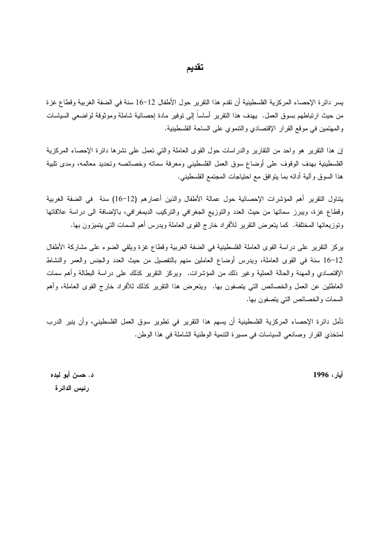#### تقديم

يسر دائرة الإحصاء المركزية الفلسطينية أن نقدم هذا التقرير حول الأطفال 12–16 سنة في الضفة الغربية وقطاع غزة من حيث ارتباطهم بسوق العمل. يهدف هذا النقرير أساساً إلى نوفير مادة إحصائية شاملة وموثوقة لواضعى السياسات والمهتمين في موقع القرار الإقتصادي والنتموي على الساحة الفلسطينية.

إن هذا النقرير هو واحد من النقارير والدراسات حول القوى العاملة والتي نعمل على نشرها دائرة الإحصاء المركزية الفلسطينية بهدف الوقوف على أوضاع سوق العمل الفلسطيني ومعرفة سماته وخصائصه ونحديد معالمه، ومدى نلبية هذا السوق وألية أدائه بما يتوافق مع احتياجات المجتمع الفلسطيني.

يتناول التقرير أهم المؤشرات الإحصائية حول عمالة الأطفال والذين أعمارهم (12–16) سنة في الضفة الغربية وقطاع غزة، ويبرز سماتها من حيث العدد والنوزيع الجغرافي والنركيب الديمغرافي، بالإضافة الى دراسة علاقاتها وتوزيعاتها المختلفة. كما يتعرض النقرير للأفراد خارج القوى العاملة ويدرس أهم السمات التبي يتميزون بها.

بركز النقرير على دراسة القوى العاملة الفلسطينية في الضفة الغربية وقطاع غزة ويلقى الضوء على مشاركة الأطفال 16–12 سنة في القوى العاملة، ويدرس أوضاع العاملين منهم بالتفصيل من حيث العدد والجنس والعمر والنشاط الإقتصادي والمهنة والحالة العملية وغير ذلك من المؤشرات. ۖ ويركز النقرير كذلك على دراسة البطالة وأهم سمات العاطلين عن العمل والخصائص التي يتصفون بها. ويتعرض هذا النقرير كذلك للأفراد خارج القوى العاملة، وأهم السمات والخصائص التي يتصفون بها.

تأمل دائرة الإحصاء المركزية الفلسطينية أن يسهم هذا التقرير في تطوير سوق العمل الفلسطيني، وأن ينير الدرب لمنخذي القرار وصانعي السياسات في مسيرة النتمية الوطنية الشاملة في هذا الوطن.

أيار، 1996

د. حسن أبو لبده رئيس الدائرة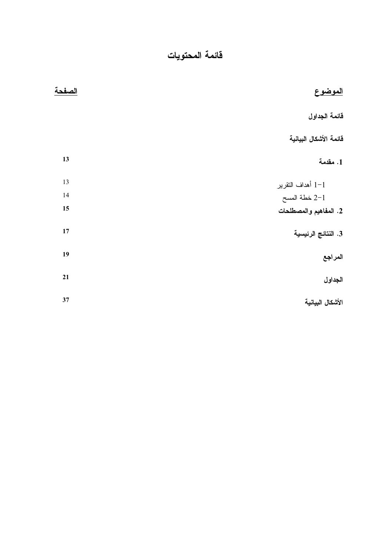| <u>الموضوع</u>         | الصفحة |
|------------------------|--------|
| قائمة الجداول          |        |
| فائمة الأشكال البيانية |        |
| 1. مقدمة               | 13     |
| 1-1 أهداف النقرير      | 13     |
| 2-1 خطة المسح          | 14     |
| 2. المفاهيم والمصطلحات | 15     |
| 3. النتائج الرئيسية    | 17     |
| المراجع                | 19     |
| الجداول                | 21     |
| الأشكال البيانية       | 37     |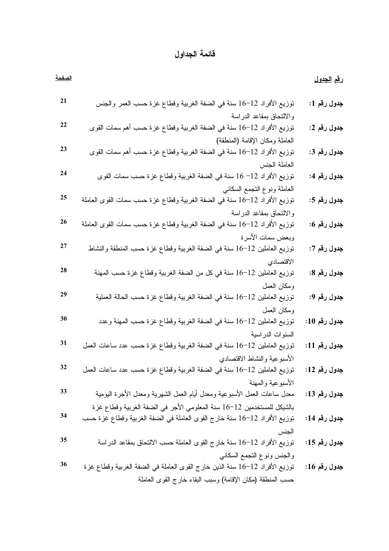## قائمة الجداول

<span id="page-5-0"></span>

| <u>الصفحة</u> |                                                                             | ر <u>قم الجدول</u> |
|---------------|-----------------------------------------------------------------------------|--------------------|
| 21            | توزيع الأفراد 12–16 سنة في الضفة الغربية وقطاع غزة حسب العمر والجنس         | جدول رقم 1:        |
|               | والالتحاق بمقاعد الدراسة                                                    |                    |
| 22            | _<br>توزيع الأفراد 12−16 سنة في الضفة الغربية وقطاع غزة حسب أهم سمات القوى  | جدول رقم 2:        |
|               | العاملة ومكان الإقامة (المنطقة)                                             |                    |
| 23            | توزيع الأفراد 12−16 سنة في الضفة الغربية وقطاع غزة حسب أهم سمات القوى       | جدول رقم 3:        |
|               | العاملة الجنس                                                               |                    |
| 24            | توزيع الأفراد 12− 16 سنة في الضفة الغربية وقطاع غزة حسب سمات القوى          | جدول رقم 4:        |
|               | العاملة ونوع النجمع السكاني                                                 |                    |
| 25            | توزيع الأفراد 12–16 سنة في الضفة الغربية وقطاع غزة حسب سمات القوى العاملة   | جدول رقم 5:        |
|               | والالتحاق بمقاعد الدراسة                                                    |                    |
| 26            | توزيع الأفراد 12–16 سنة في الضفة الغربية وقطاع غزة حسب سمات القوى العاملة   | جدول رقم 6:        |
|               | وبعض سمات الأسرة                                                            |                    |
| 27            | توزيع العاملين 12–16 سنة في الضفة الغربية وقطاع غزة حسب المنطقة والنشاط     | جدول رقم 7:        |
|               | الاقتصادي                                                                   |                    |
| 28            | توزيع العاملين 12–16 سنة في كل من الضفة الغربية وقطاع غزة حسب المهنة        | جدول رقم 8:        |
|               | ومكان العمل                                                                 |                    |
| 29            | توزيع العاملين 12–16 سنة في الضفة الغربية وقطاع غزة حسب الحالة العملية      | جدول رقم 9:        |
|               | ومكان العمل                                                                 |                    |
| 30            | توزيع العاملين 12−16 سنة في الضفة الغربية وقطاع غزة حسب المهنة وعدد         | جدول رقم 10:       |
|               | السنوات الدراسية                                                            |                    |
| 31            | توزيع العاملين 12−16 سنة في الضفة الغربية وقطاع غزة حسب عدد ساعات العمل     | جدول رقم 11:       |
|               | الأسبوعية والنشاط الاقتصادي                                                 |                    |
| 32            | توزيع العاملين 12−16 سنة في الضفة الغربية وقطاع غزة حسب عدد ساعات العمل     | جدول رقم 12:       |
|               | الأسبوعية والمهنة                                                           |                    |
| 33            | معدل ساعات العمل الأسبوعية ومعدل أيام العمل الشهرية ومعدل الأجرة اليومية    | جدول رقم 13:       |
|               | بالشيكل للمستخدمين 12−16 سنة المعلومي الأجر في الضفة الغربية وقطاع غزة      |                    |
| 34            | توزيع الأفراد 12−16 سنة خارج القوى العاملة في الضفة الغربية وقطاع غزة حسب   | جدول رقم 14:       |
|               | الجنس                                                                       |                    |
| 35            | توزيع الأفراد 12−16 سنة خارج القوى العاملة حسب الالتحاق بمقاعد الدراسة      | جدول رقم 15:       |
|               | والجنس ونوع التجمع السكاني                                                  |                    |
| 36            | توزيع الأفراد 12–16 سنة الذين خارج القوى العاملة في الضفة الغربية وقطاع غزة | جدول رقم 16:       |
|               | حسب المنطقة (مكان الإقامة) وسبب البقاء خارج القوى العاملة                   |                    |
|               |                                                                             |                    |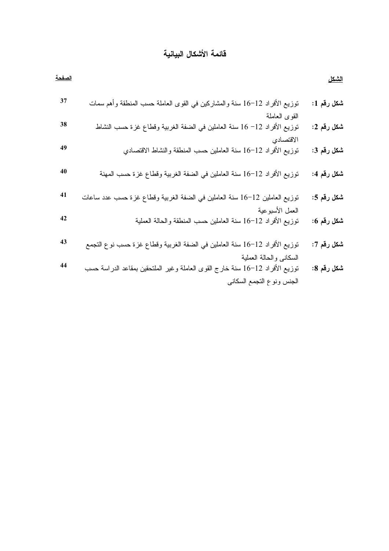### فائمة الأشكال البيانية

<span id="page-6-0"></span>

| الصفحة |                                                                                                         | <u>الشكل</u>              |
|--------|---------------------------------------------------------------------------------------------------------|---------------------------|
| 37     | توزيع الأفراد 12−16 سنة والمشاركين في القوى العاملة حسب المنطقة وأهم سمات                               | شكل رقم 1:                |
| 38     | القوى العاملة<br>نوزيع الأفراد 12− 16 سنة العاملين في الضفة الغربية وقطاع غزة حسب النشاط                | .<br>شكل رقم 2:           |
| 49     | الاقتصادي<br>توزيع الأفراد 12–16 سنة العاملين حسب المنطقة والنشاط الاقتصادي                             | .<br>شكل رقم 3:           |
| 40     | نوزيع الأفراد 12–16 سنة العاملين في الضفة الغربية وقطاع غزة حسب المهنة                                  | شكل ر <mark>ق</mark> م 4: |
| 41     | توزيع العاملين 12–16 سنة العاملين في الضفة الغربية وقطاع غزة حسب عدد ساعات                              | شكل رقم 5:                |
| 42     | العمل الأسبوعية<br>نوزيع الأفراد 12–16 سنة العاملين حسب المنطقة والحالة العملية                         | شكل رقم 6:                |
| 43     | توزيع الأفراد 12−16 سنة العاملين في الضفة الغربية وقطاع غزة حسب نوع التجمع                              | .<br>شكل رقم 7:           |
| 44     | السكاني والحالة العملية<br>توزيع الأفراد 12−16 سنة خارج القوى العاملة وغير الملتحقين بمقاعد الدراسة حسب | شكل رقم 8:                |
|        | الجنس ونوع التجمع السكاني                                                                               |                           |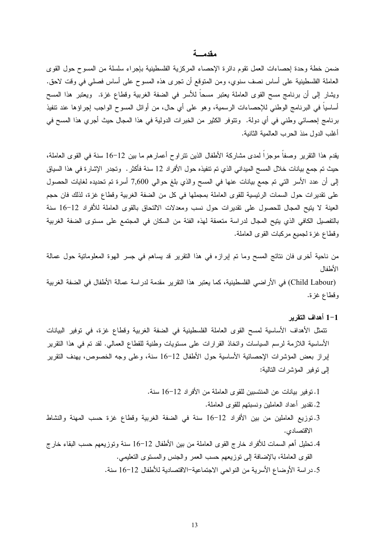#### مقدمسة

<span id="page-7-0"></span>ضمن خطة وحدة إحصاءات العمل نقوم دائرة الإحصاء المركزية الفلسطينية بإجراء سلسلة من المسوح حول القوى العاملة الفلسطينية على أساس نصف سنوي، ومن المنوقع أن تجرى هذه المسوح على أساس فصلى فى وقت لاحق. ويشار إلى أن برنامج مسح القوى العاملة يعتبر مسحاً للأسر في الضفة الغربية وقطاع غزة. ويعتبر هذا المسح أساسياً في البرنامج الوطني للإحصاءات الرسمية، وهو على أي حال، من أوائل المسوح الواجب إجراؤها عند نتفيذ برنامج إحصائي وطني في أي دولة. وتتوفر الكثير من الخبرات الدولية في هذا المجال حيث أجرى هذا المسح في أغلب الدول منذ الحرب العالمية الثانية.

يقدم هذا النقرير وصفا موجزًا لمدى مشاركة الأطفال الذين نتراوح أعمارهم ما بين 12–16 سنة في القوى العاملة، حيث تم جمع بيانات خلال المسح الميداني الذي تم تتفيذه حول الأفراد 12 سنة فأكثر . وتجدر الإشار ة في هذا السياق إلى أن عدد الأسر التي تم جمع بيانات عنها في المسح والذي بلغ حوالي 7,600 أسرة تم تحديده لغايات الحصول على تقديرات حول السمات الرئيسية للقوى العاملة بمجملها في كل من الضفة الغربية وقطاع غزة، لذلك فان حجم العينة لا يتيح المجال للحصول على تقديرات حول نسب ومعدلات الالتحاق بالقوى العاملة للأفراد 12–16 سنة بالتفصيل الكافي الذي يتيح المجال لدراسة متعمقة لهذه الفئة من السكان في المجتمع على مستوى الضفة الغربية وقطاع غزة لجميع مركبات القوى العاملة.

من ناحية أخرى فان نتائج المسح وما تم إبرازه في هذا التقرير قد يساهم في جسر الهوة المعلوماتية حول عمالة الأطفال

(Child Labour) في الأراضي الفلسطينية، كما يعتبر هذا التقرير مقدمة لدراسة عمالة الأطفال في الضفة الغربية وقطاع غزة.

#### 1–1 أهداف التقرير

تتمثَّل الأهداف الأساسية لمسح القوى العاملة الفلسطينية في الضفة الغربية وقطاع غزة، في توفير البيانات الأساسية اللازمة لرسم السياسات وانخاذ القرارات على مستويات وطنية للقطاع العمالي. لقد تم في هذا النقرير إبراز بعض المؤشرات الإحصائية الأساسية حول الأطفال 12−16 سنة، وعلى وجه الخصوص، بهدف النقرير إلى توفير المؤشر ات التالية:

- 1. توفير بيانات عن المنتسبين للقوى العاملة من الأفراد 12–16 سنة.
	- 2. نقدير أعداد العاملين ونسبتهم للقوى العاملة.
- 3.توزيع العاملين من بين الأفراد 12–16 سنة في الضفة الغربية وقطاع غزة حسب المهنة والنشاط الاقتصادي.
- 4. تحليل أهم السمات للأفراد خارج القوى العاملة من بين الأطفال 12–16 سنة وتوزيعهم حسب البقاء خارج القوى العاملة، بالإضافة إلى نوزيعهم حسب العمر والجنس والمسنوى النعليمي. 5. در اسة الأوضاع الأسرية من النواحي الاجتماعية−الاقتصادية للأطفال 12−16 سنة.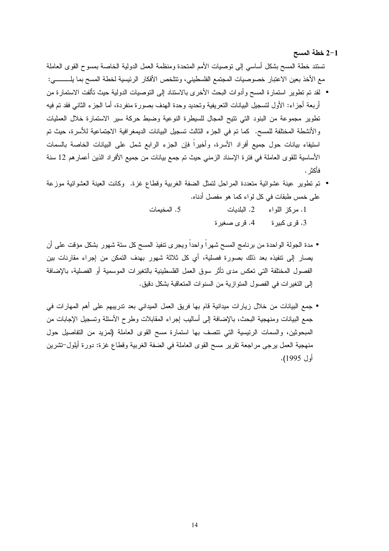- 2-1 خطة المسح تستند خطة المسح بشكل أساسي إلى نوصيات الأمم المتحدة ومنظمة العمل الدولية الخاصة بمسوح القوى العاملة مع الأخذ بعين الاعتبار خصوصيات المجتمع الفلسطيني، وتتلخص الأفكار الرئيسية لخطة المسح بما يلـــــــــي:
- لقد تم تطوير استمارة المسح وأدوات البحث الأخرى بالاستناد إلى التوصيات الدولية حيث تألفت الاستمارة من أر بعة أجز اء: الأول لتسجيل البيانات التعر يفية وتحديد وحدة الهدف بصور ة منفر دة، أما الجز ء الثاني فقد تم فيه تطوير مجموعة من البنود التي نتيح المجال للسيطرة النوعية وضبط حركة سير الاستمارة خلال العمليات والأنشطة المختلفة للمسح. كما تم في الجزء الثالث تسجيل البيانات الديمغر افية الاجتماعية للأسرة، حيث تم استيفاء بيانات حول جميع أفراد الأسرة، وأخيرا فإن الجزء الرابع شمل على البيانات الخاصة بالسمات الأساسية للقوى العاملة في فترة الإسناد الزمني حيث تم جمع بيانات من جميع الأفراد الذين أعمار هم 12 سنة فأكثر .
- تم تطوير عينة عشوائية متعددة المراحل لتمثل الضفة الغربية وقطاع غزة. وكانت العينة العشوائية موزعة على خمس طبقات في كل لو اء كما هو مفصل أدناه.

5. المخيمات 1. مركز اللواء 2. البلديات 3. قرى كبيرة 4. قرى صغيرة

- مدة الجولة الواحدة من برنامج المسح شهراً واحداً ويجرى نتفيذ المسح كل سنة شهور بشكل مؤقت على أن يصار إلى نتفيذه بعد ذلك بصورة فصلية، أي كل ثلاثة شهور بهدف التمكن من إجراء مقارنات بين الفصول المختلفة التي تعكس مدى تأثر سوق العمل الفلسطينية بالتغيرات الموسمية أو الفصلية، بالإضافة إلى التغير ات في الفصول المتو از ية من السنو ات المتعاقبة بشكل دقيق.
- جمع البيانات من خلال زيار ات ميدانية قام بها فريق العمل الميداني بعد تدريبهم على أهم المهار ات في جمع البيانات ومنهجية البحث، بالإضافة إلى أساليب إجراء المقابلات وطرح الأسئلة وتسجيل الإجابات من المبحوثين، والسمات الرئيسية التي نتصف بها استمارة مسح القوى العاملة (لمزيد من التفاصيل حول منهجية العمل يرجى مراجعة نقرير مسح القوى العاملة في الضفة الغربية وقطاع غزة: دورة أيلول–تشرين أول 1995).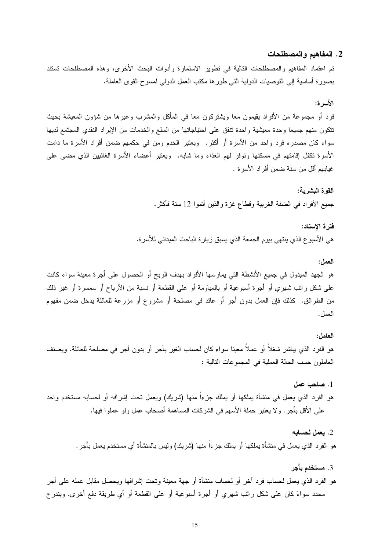#### 2. المفاهيم والمصطلحات

<span id="page-9-0"></span>تم اعتماد المفاهيم والمصطلحات النالية في نطوير الاستمارة وأدوات البحث الأخرى، وهذه المصطلحات نستند بصورة أساسية إلى النوصيات الدولية التي طور ها مكتب العمل الدولمي لمسوح القوى العاملة.

الأسرة:

فرد أو مجموعة من الأفراد يقيمون معا ويشتركون معا فـي المأكل والمشرب وغيرها من شؤون المعيشة بحيث نتكون منهم جميعا وحدة معيشية واحدة نتفق على احتياجاتها من السلع والخدمات من الإيراد النقدي المجتمع لديها سواء كان مصدره فرد واحد من الأسرة أو أكثر . ويعتبر الخدم ومن في حكمهم ضمن أفراد الأسرة ما دامت الأسرة تكفل إقامتهم في مسكنها وتوفر لمهم الغذاء وما شابه. ۖ ويعتبر أعضاء الأسرة الغائبين الذي مضـي علـي غيابهم أقل من سنة ضمن أفر اد الأسر ة .

> القو ة البشر بــة: جميع الأفر اد في الضفة الغربية وقطاع غز ة والذين أتموا 12 سنة فأكثر .

فتر ة الاسناد: هي الأسبو ع الذي ينتهي بيو م الجمعة الذي يسبق ز يار ة الباحث الميداني للأسر ة.

العمل:

هو الجهد المبذول في جميع الأنشطة التي يمارسها الأفراد بهدف الربح أو الحصول على أجرة معينة سواء كانت على شكل راتب شهري أو أجرة أسبوعية أو بالمباومة أو على القطعة أو نسبة من الأرباح أو سمسرة أو غير ذلك من الطرائق. كذلك فإن العمل بدون أجر أو عائد في مصلحة أو مشروع أو مزرعة للعائلة يدخل ضمن مفهوم العمل.

العامل:

3. مستخدم بأجر

هو الفرد الذي يباشر شغلاً أو عملاً معينا سواء كان لحساب الغير بأجر أو بدون أجر في مصلحة للعائلة. ويصنف العاملون حسب الحالة العملية في المجمو عات التالية :

- 1. صاحب عمل هو الفرد الذي يعمل في منشأة يملكها أو يملك جزءاً منها (شريك) ويعمل نحت إشرافه أو لحسابه مستخدم واحد على الأقل بأجر . ولا يعتبر حملة الأسهم في الشركات المساهمة أصحاب عمل ولو عملوا فيها.
	- 2. يعمل لحسابه هو الفرد الذي يعمل في منشأة يملكها أو يملك جزءاً منها (شريك) وليس بالمنشأة أي مستخدم يعمل بأجر .
- هو الفرد الذي يعمل لحساب فرد آخر أو لحساب منشأة أو جهة معينة وتحت إشرافها ويحصل مقابل عمله على أجر محدد سواءً كان على شكل راتب شهري أو أجرة أسبوعية أو على القطعة أو أي طريقة دفع أخرى. ويندرج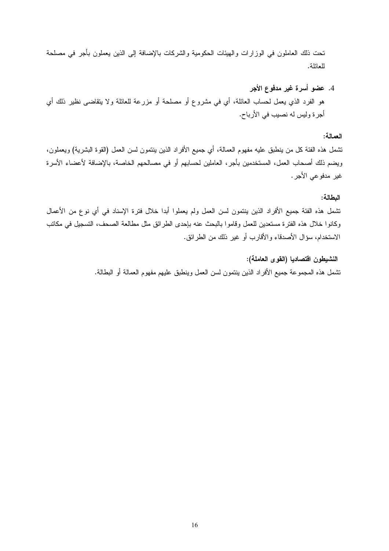تحت ذلك العاملون في الوزارات والهيئات الحكومية والشركات بالإضافة إلى الذين يعملون بأجر في مصلحة للعائلة.

4. عضو أسرة غير مدفوع الأجر هو الفرد الذي يعمل لحساب العائلة، أي في مشروع أو مصلحة أو مزرعة للعائلة ولا يتقاضى نظير ذلك أي أجرة وليس له نصيب في الأرباح.

#### العمالة:

تشمل هذه الفئة كل من ينطبق عليه مفهوم العمالة، أي جميع الأفراد الذين ينتمون لسن العمل (القوة البشرية) ويعملون، ويضم ذلك أصحاب العمل، المستخدمين بأجر، العاملين لحسابهم أو في مصالحهم الخاصة، بالإضافة لأعضاء الأسرة غير مدفو عي الأجر .

#### البطالة:

تشمل هذه الفئة جميع الأفراد الذين ينتمون لسن العمل ولم يعملوا أبدا خلال فترة الإسناد في أي نوع من الأعمال وكانوا خلال هذه الفترة مستعدين للعمل وقاموا بالبحث عنه بإحدى الطرائق مثل مطالعة الصحف، التسجيل في مكاتب الاستخدام، سؤال الأصدقاء والأقارب أو غير ذلك من الطرائق.

> النشيطون اقتصاديا (القوى العاملة): تشمل هذه المجموعة جميع الأفراد الذين ينتمون لسن العمل وينطبق عليهم مفهوم العمالة أو البطالة.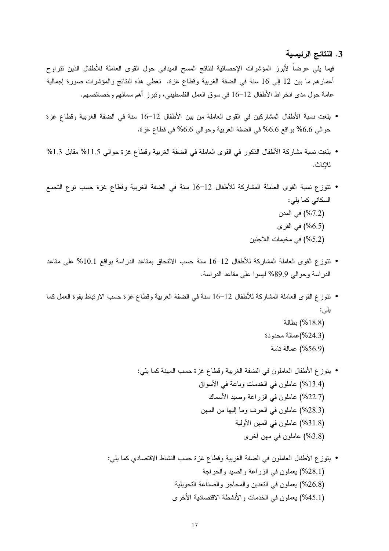3. النتائج الرئيسية

<span id="page-11-0"></span>فيما يلي عرضاً لأبرز المؤشرات الإحصائية لنتائج المسح الميداني حول القوى العاملة للأطفال الذين نتراوح أعمارهم ما بين 12 إلى 16 سنة في الضفة الغربية وقطاع غزة. تعطي هذه النتائج والمؤشرات صورة إجمالية عامة حول مدى انخراط الأطفال 12–16 في سوق العمل الفلسطيني، وتبرز أهم سماتهم وخصائصهم.

- بلغت نسبة الأطفال المشاركين في القوى العاملة من بين الأطفال 12–16 سنة في الضفة الغربية وقطاع غزة حوالي 6.6% بواقع 6.6% في الضفة الغربية وحوالي 6.6% في قطاع غزة.
- بلغت نسبة مشاركة الأطفال الذكور في القوى العاملة في الضفة الغربية وقطاع غزة حوالي 11.5% مقابل 11.3% للإناث.
- نتوزع نسبة القوى العاملة المشاركة للأطفال 12–16 سنة في الضفة الغربية وقطاع غزة حسب نوع التجمع السكاني كما يلي: (7.2%) في المدن (6.5%) في القرى (5.2%) في مخيمات اللاجئين
- نتوز ع القوى العاملة المشاركة للأطفال 12−16 سنة حسب الالتحاق بمقاعد الدر اسة بواقع 10.1% على مقاعد الدراسة وحوالي 89.9% ليسوا على مقاعد الدراسة.
- نتوزع القوى العاملة المشاركة للأطفال 12–16 سنة في الضفة الغربية وقطاع غزة حسب الارتباط بقوة العمل كما یلی: (18.8%) بطالة (24.3%)عمالة محدودة
	- (56.9%) عمالة تامة
	- يتوزع الأطفال العاملون في الضفة الغربية وقطاع غزة حسب المهنة كما يلي: (13.4%) عاملون في الخدمات وباعة في الأسواق (22.7%) عاملون في الزر اعة وصبد الأسماك (28.3%) عاملون في الحرف وما إليها من المهن (31.8%) عاملون في المهن الأولية (3.8%) عاملون في مهن أخرى
	- ينوز ع الأطفال العاملون فـي الضفة الغربية وقطاع غزة حسب النشاط الاقتصادي كما يلـي: (28.1%) يعملون في الزراعة والصيد والحراجة (26.8%) يعملون في التعدين والمحاجر والصناعة التحويلية (45.1%) يعملون في الخدمات و الأنشطة الاقتصادية الأخر ي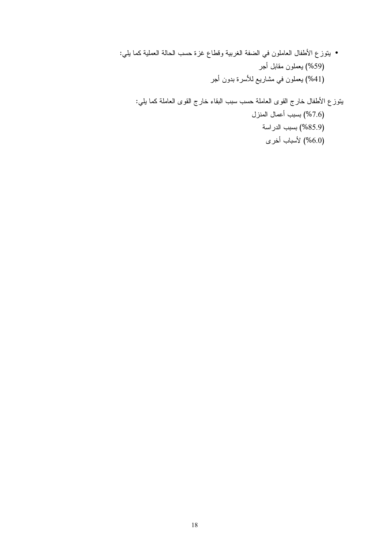• يتوزع الأطفال العاملون في الضفة الغربية وقطاع غزة حسب الحالة العملية كما يلي: (59%) بعملون مقابل أجر (41%) يعملون في مشاريع للأسرة بدون أجر

يتوزع الأطفال خارج القوى العاملة حسب سبب البقاء خارج القوى العاملة كما يلي: (7.6%) بسبب أعمال المنزل (85.9%) بسبب الدر اسة (6.0%) لأسباب أخرى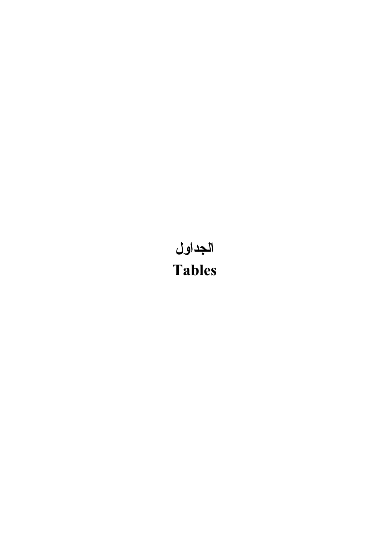# <span id="page-15-0"></span>الجداول **Tables**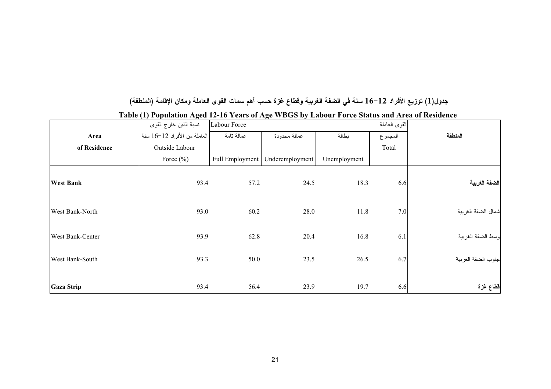### جدول(1) توزيع الأفراد 12–16 سنة في الضفة الغربية وقطاع غزة حسب أهم سمات القوى العاملة ومكان الإقامة (المنطقة)

|                   | $\overline{\phantom{a}}$<br>نسبة الذين خارج القوى | Labour Force |                                   |              | القوى العاملة |                    |
|-------------------|---------------------------------------------------|--------------|-----------------------------------|--------------|---------------|--------------------|
| Area              | العاملة من الأفراد 12–16 سنة                      | عمالة نامة   | عمالة محدودة                      | بطالة        | المجموع       | المنطقة            |
| of Residence      | Outside Labour                                    |              |                                   |              | Total         |                    |
|                   | Force $(\%)$                                      |              | Full Employment   Underemployment | Unemployment |               |                    |
| <b>West Bank</b>  | 93.4                                              | 57.2         | 24.5                              | 18.3         | 6.6           | الضفة الغربية      |
| West Bank-North   | 93.0                                              | 60.2         | 28.0                              | 11.8         | 7.0           | شمال الضفة الغربية |
| West Bank-Center  | 93.9                                              | 62.8         | 20.4                              | 16.8         | 6.1           | وسط الضفة الغربية  |
| West Bank-South   | 93.3                                              | 50.0         | 23.5                              | 26.5         | 6.7           | جنوب الضفة الغربية |
| <b>Gaza Strip</b> | 93.4                                              | 56.4         | 23.9                              | 19.7         | 6.6           | فظاع غزة           |

Table (1) Population Aged 12-16 Years of Age WBGS by Labour Force Status and Area of Residence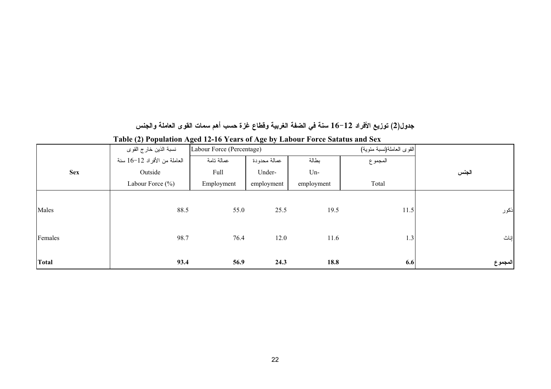### جدول(2) توزيع الأفراد 12–16 سنة في الضفة الغربية وقطاع غزة حسب أهم سمات القوى العاملة والجنس

|              | $\sqrt{2}$<br>$\circ$<br>نسبة الذين خار ج القو ي | Labour Force (Percentage) |              |            | القوى العاملة(نسبة مئوية) |         |
|--------------|--------------------------------------------------|---------------------------|--------------|------------|---------------------------|---------|
|              | العاملة من الأفراد 12–16 سنة                     | عمالة تامة                | عمالة محدودة | بطالة      | المجموع                   |         |
| <b>Sex</b>   | Outside                                          | Full                      | Under-       | $Un-$      |                           | الجنس   |
|              | Labour Force $(\% )$                             | Employment                | employment   | employment | Total                     |         |
|              |                                                  |                           |              |            |                           |         |
| Males        | 88.5                                             | 55.0                      | 25.5         | 19.5       | 11.5                      | أذكور   |
|              |                                                  |                           |              |            |                           |         |
| Females      | 98.7                                             | 76.4                      | 12.0         | 11.6       | 1.3                       | إناث    |
|              |                                                  |                           |              |            |                           |         |
| <b>Total</b> | 93.4                                             | 56.9                      | 24.3         | 18.8       | 6.6                       | المجموع |

#### Table (2) Population Aged 12-16 Years of Age by Labour Force Satatus and Sex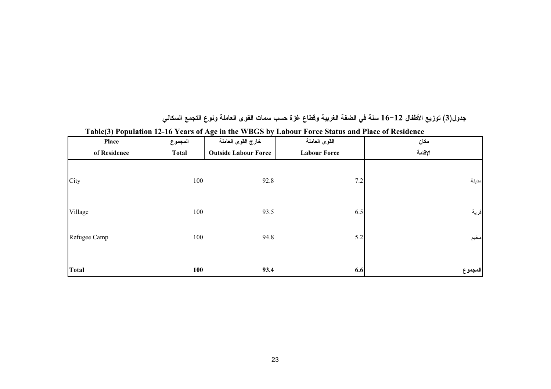| Place        | المجموع      | خارج القوى العاملة          | $\mathbf{F}$ and $\mathbf{F}$ are $\mathbf{F}$ and $\mathbf{F}$ and $\mathbf{F}$ are $\mathbf{F}$ and $\mathbf{F}$ and $\mathbf{F}$ are $\mathbf{F}$ and $\mathbf{F}$ and $\mathbf{F}$ are $\mathbf{F}$ and $\mathbf{F}$ are $\mathbf{F}$ and $\mathbf{F}$ are $\mathbf{F}$ and $\mathbf{F}$ are<br>القوى العاملة | مكان    |
|--------------|--------------|-----------------------------|-------------------------------------------------------------------------------------------------------------------------------------------------------------------------------------------------------------------------------------------------------------------------------------------------------------------|---------|
| of Residence | <b>Total</b> | <b>Outside Labour Force</b> | <b>Labour Force</b>                                                                                                                                                                                                                                                                                               | الإقامة |
| City         | 100          | 92.8                        | 7.2                                                                                                                                                                                                                                                                                                               | مدينة   |
| Village      | 100          | 93.5                        | 6.5                                                                                                                                                                                                                                                                                                               | قرية    |
| Refugee Camp | 100          | 94.8                        | 5.2                                                                                                                                                                                                                                                                                                               | مخيم    |
| <b>Total</b> | 100          | 93.4                        | 6.6                                                                                                                                                                                                                                                                                                               | المجموع |

### جدول(3) توزيع الأطفال 12–16 سنة في الضفة الغربية وقطاع غزة حسب سمات القوى العاملة ونوع التجمع السكاني

Table(3) Population 12-16 Years of Age in the WBGS by Labour Force Status and Place of Residence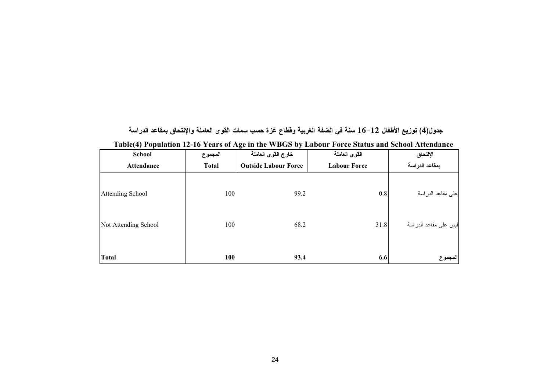| $\sim$ $\sim$ $\sim$ $\sim$<br><b>School</b> | المجموع      | -<br>$\bullet$<br>خارج القوى العاملة | القوى العاملة       | الإلتحاق              |
|----------------------------------------------|--------------|--------------------------------------|---------------------|-----------------------|
| Attendance                                   | <b>Total</b> | <b>Outside Labour Force</b>          | <b>Labour Force</b> | بمقاعد الدراسة        |
| Attending School                             | 100          | 99.2                                 | 0.8                 | على مقاعد الدر اسة    |
| Not Attending School                         | 100          | 68.2                                 | 31.8                | ليس على مقاعد الدراسة |
| <b>Total</b>                                 | 100          | 93.4                                 | 6.6                 | المجموع               |

| جدول(4) توزيع الأطفال 12–16 سنة في الضفة الغربية وقطاع غزة حسب سمات القوى العاملة والإلتحاق بمقاعد الدراسة |
|------------------------------------------------------------------------------------------------------------|
| Table(4) Population 12-16 Years of Age in the WBGS by Labour Force Status and School Attendance            |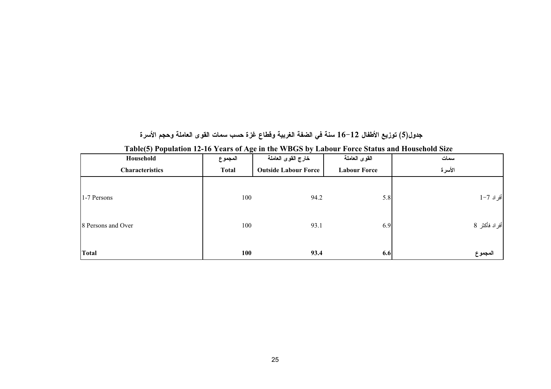جدول(5) توزيع الأطفال 12–16 سنة في الضفة الغربية وقطاع غزة حسب سمات القوى العاملة وحجم الأسرة

| Household              | المجموع      | خارج القوى العاملة          | القوى العاملة       | سمات          |
|------------------------|--------------|-----------------------------|---------------------|---------------|
| <b>Characteristics</b> | <b>Total</b> | <b>Outside Labour Force</b> | <b>Labour Force</b> | الأسرة        |
|                        |              |                             |                     |               |
| 1-7 Persons            | 100          | 94.2                        | 5.8                 | أفراد 7–1     |
|                        |              |                             |                     |               |
| 8 Persons and Over     | 100          | 93.1                        | 6.9                 | أفراد فأكثر 8 |
|                        |              |                             |                     |               |
| <b>Total</b>           | 100          | 93.4                        | 6.6                 | المجموع       |

Table(5) Population 12-16 Years of Age in the WBGS by Labour Force Status and Household Size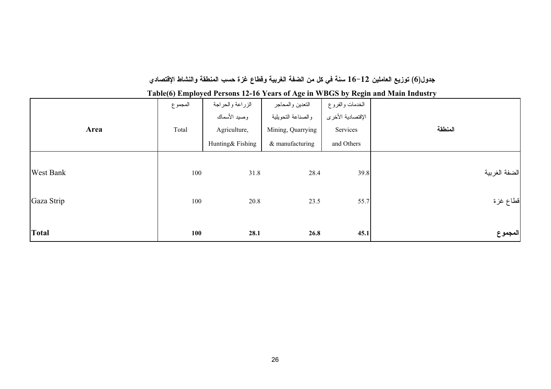### جدول(6) توزيع العاملين 12–16 سنة في كل من الضفة الغربية وقطاع غزة حسب المنطقة والنشاط الإقتصادي

| Area             | المجموع<br>Total | الزراعة والحراجة<br>وصيد الأسماك<br>Agriculture,<br>Hunting& Fishing | التعدين والمحاجر<br>والصناعة التحويلية<br>Mining, Quarrying<br>& manufacturing | الخدمات والفروع<br>الإقتصادية الأخرى<br>Services<br>and Others | المنطقة       |
|------------------|------------------|----------------------------------------------------------------------|--------------------------------------------------------------------------------|----------------------------------------------------------------|---------------|
| <b>West Bank</b> | 100              | 31.8                                                                 | 28.4                                                                           | 39.8                                                           | الضفة الغربية |
| Gaza Strip       | 100              | 20.8                                                                 | 23.5                                                                           | 55.7                                                           | فظاع غزة      |
| <b>Total</b>     | 100              | 28.1                                                                 | 26.8                                                                           | 45.1                                                           | المجموع       |

Table(6) Employed Persons 12-16 Years of Age in WBGS by Regin and Main Industry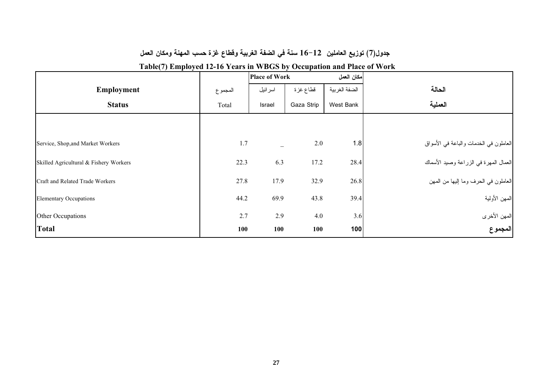### جدول(7) توزيع العاملين 12–16 سنة في الضفة الغربية وفَطاع غزة حسب المهنة ومكان العمل

| $\sqrt{2}$<br>$\mathbf{1}$ $\mathbf{v}$ |         |                      | л.         |               |                                        |
|-----------------------------------------|---------|----------------------|------------|---------------|----------------------------------------|
|                                         |         | <b>Place of Work</b> |            | مكان العمل    |                                        |
| <b>Employment</b>                       | المجموع | اسر ائيل             | قطاع غزة   | الضفة الغربية | الحالة                                 |
| <b>Status</b>                           | Total   | Israel               | Gaza Strip | West Bank     | العملية                                |
|                                         |         |                      |            |               |                                        |
| Service, Shop, and Market Workers       | 1.7     |                      | 2.0        | 1.8           | العاملون في الخدمات والباعة في الأسواق |
| Skilled Agricultural & Fishery Workers  | 22.3    | 6.3                  | 17.2       | 28.4          | العمال المهرة في الزراعة وصيد الأسماك  |
| Craft and Related Trade Workers         | 27.8    | 17.9                 | 32.9       | 26.8          | العاملون في الحرف وما إليها من المهن   |
| <b>Elementary Occupations</b>           | 44.2    | 69.9                 | 43.8       | 39.4          | الممهن الأولية                         |
| Other Occupations                       | 2.7     | 2.9                  | 4.0        | 3.6           |                                        |
| <b>Total</b>                            | 100     | 100                  | 100        | 100           | المهن الأخرى<br><b>المجموع</b>         |

### Table(7) Employed 12-16 Years in WBGS by Occupation and Place of Work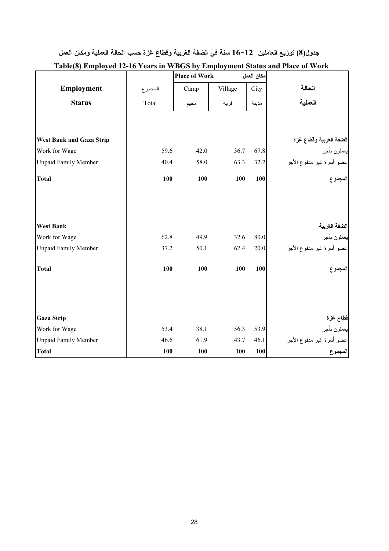### جدول(8) توزيع العاملين 12–16 سنة في الضفة الغربية وفطاع غزة حسب الحالة العملية ومكان العمل

|                                 |         | <b>Place of Work</b> |         | مكان العمل |                                                                        |
|---------------------------------|---------|----------------------|---------|------------|------------------------------------------------------------------------|
| Employment                      | المجموع | Camp                 | Village | City       | الحالة                                                                 |
| <b>Status</b>                   | Total   | مخيم                 | قرية    | مدينة      | العملية                                                                |
|                                 |         |                      |         |            |                                                                        |
| <b>West Bank and Gaza Strip</b> |         |                      |         |            | الضفة الغربية وقطاع غزة                                                |
| Work for Wage                   | 59.6    | 42.0                 | 36.7    | 67.8       | يعملون بأجر                                                            |
| <b>Unpaid Family Member</b>     | 40.4    | 58.0                 | 63.3    | 32.2       | <br> عضو أسرة غير مدفوع الأجر                                          |
| <b>Total</b>                    | 100     | 100                  | 100     | 100        | المجموع<br>المجموع                                                     |
|                                 |         |                      |         |            |                                                                        |
| <b>West Bank</b>                |         |                      |         |            |                                                                        |
| Work for Wage                   | 62.8    | 49.9                 | 32.6    | 80.0       | ا <b>لضفة الغربية</b><br>يعملون بأجر                                   |
| <b>Unpaid Family Member</b>     | 37.2    | 50.1                 | 67.4    | 20.0       | عضو أسرة غير مدفوع الأجر                                               |
| <b>Total</b>                    | 100     | 100                  | 100     | 100        | مجموع                                                                  |
|                                 |         |                      |         |            |                                                                        |
| <b>Gaza Strip</b>               |         |                      |         |            |                                                                        |
| Work for Wage                   | 53.4    | 38.1                 | 56.3    | 53.9       | قطاع غزة<br>بعملون بأجر<br>عضو أسرة غير مدفوع الأجر<br>ا <b>لمجموع</b> |
| <b>Unpaid Family Member</b>     | 46.6    | 61.9                 | 43.7    | 46.1       |                                                                        |
| <b>Total</b>                    | 100     | 100                  | 100     | 100        |                                                                        |

### Table(8) Employed 12-16 Years in WBGS by Employment Status and Place of Work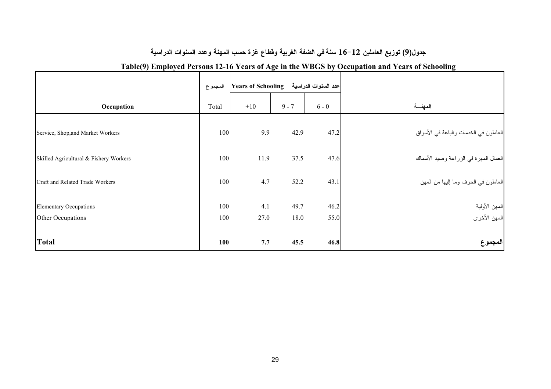### جدول(9) توزيع العاملين 12–16 سنة في الضفة الغربية وفطاع غزة حسب المهنة وعدد السنوات الدراسية

|                                                    | المجموع    | عدد السنوات الدراسية Vears of Schooling |              |              |                                        |
|----------------------------------------------------|------------|-----------------------------------------|--------------|--------------|----------------------------------------|
| Occupation                                         | Total      | $+10$                                   | $9 - 7$      | $6 - 0$      | المهنسة                                |
| Service, Shop, and Market Workers                  | 100        | 9.9                                     | 42.9         | 47.2         | العاملون في الخدمات والباعة في الأسواق |
| Skilled Agricultural & Fishery Workers             | 100        | 11.9                                    | 37.5         | 47.6         | العمال المهرة في الزراعة وصيد الأسماك  |
| Craft and Related Trade Workers                    | 100        | 4.7                                     | 52.2         | 43.1         | العاملون في الحرف وما إليها من المهن   |
| <b>Elementary Occupations</b><br>Other Occupations | 100<br>100 | 4.1<br>27.0                             | 49.7<br>18.0 | 46.2<br>55.0 | المـهن الأولية<br>المـهن الأخرى        |
| <b>Total</b>                                       | 100        | 7.7                                     | 45.5         | 46.8         | المجموع                                |

### Table(9) Employed Persons 12-16 Years of Age in the WBGS by Occupation and Years of Schooling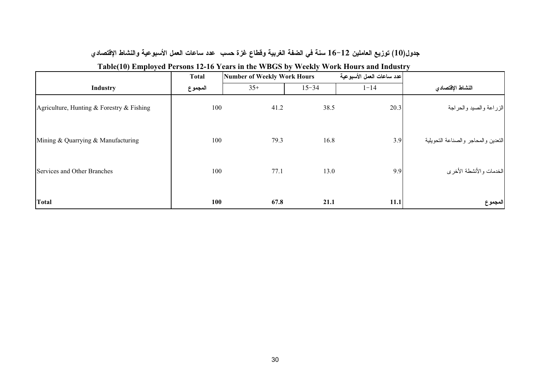### جدول(10) توزيع العاملين 12–16 سنة في الضفة الغربية وقطاع غزة حسب عدد ساعات العمل الأسبوعية والنشاط الإقتصادي

| $\mathbf{r}$ $\mathbf{v}$                 | <b>Total</b> | Number of Weekly Work Hours |           | عدد ساعات العمل الأسبوعية |                                     |
|-------------------------------------------|--------------|-----------------------------|-----------|---------------------------|-------------------------------------|
| Industry                                  | المجموع      | $35+$                       | $15 - 34$ | $1 - 14$                  | النشاط الإقتصادي                    |
| Agriculture, Hunting & Forestry & Fishing | 100          | 41.2                        | 38.5      | 20.3                      | الزراعة والصيد والحراجة             |
| Mining & Quarrying & Manufacturing        | 100          | 79.3                        | 16.8      | 3.9                       | التعدين والمحاجر والصناعة التحويلية |
| Services and Other Branches               | 100          | 77.1                        | 13.0      | 9.9                       | الخدمات والأنشطة الأخرى             |
| <b>Total</b>                              | <b>100</b>   | 67.8                        | 21.1      | 11.1                      | المجموع                             |

### Table(10) Employed Persons 12-16 Years in the WBGS by Weekly Work Hours and Industry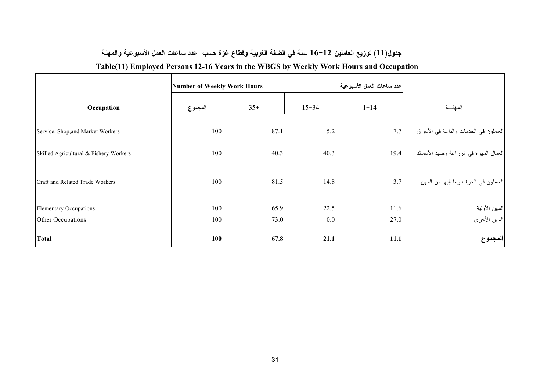### جدول(11) توزيع العاملين 12–16 سنة في الضفة الغربية وقطاع غزة حسب عدد ساعات العمل الأسبوعية والمهنة

### Table(11) Employed Persons 12-16 Years in the WBGS by Weekly Work Hours and Occupation

|                                        | <b>Number of Weekly Work Hours</b> |       |           | عدد ساعات العمل الأسبوعية |                                        |
|----------------------------------------|------------------------------------|-------|-----------|---------------------------|----------------------------------------|
| Occupation                             | المجموع                            | $35+$ | $15 - 34$ | $1 - 14$                  | المهنسة                                |
| Service, Shop, and Market Workers      | 100                                | 87.1  | 5.2       | 7.7                       | العاملون في الخدمات والباعة في الأسواق |
| Skilled Agricultural & Fishery Workers | 100                                | 40.3  | 40.3      | 19.4                      | العمال المهرة في الزراعة وصيد الأسماك  |
| Craft and Related Trade Workers        | 100                                | 81.5  | 14.8      | 3.7                       | العاملون في الحرف وما إليها من المهن   |
| <b>Elementary Occupations</b>          | 100                                | 65.9  | 22.5      | 11.6                      | المـهن الأولية<br>المـهن الأخرى        |
| Other Occupations                      | 100                                | 73.0  | 0.0       | 27.0                      |                                        |
| <b>Total</b>                           | 100                                | 67.8  | 21.1      | 11.1                      | المجموع                                |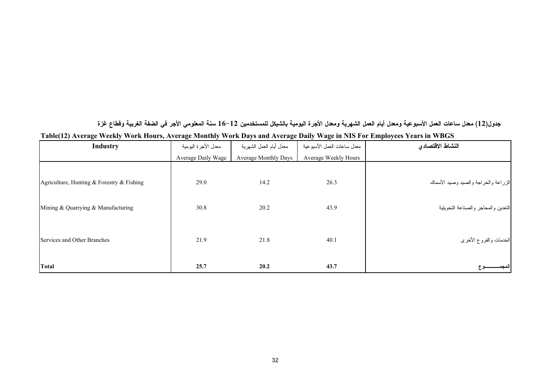جدول(12) معدل ساعات العمل الأسبوعية ومعدل أيام العمل الشهرية ومعدل الأجرة اليومية بالشيكل للمستخدمين 12–16 سنة المعلومي الأجر في الضفة الغربية وقطاع غزة Table(12) Average Weekly Work Hours, Average Monthly Work Days and Average Daily Wage in NIS For Employees Years in WBGS

| <b>Industry</b>                           | معدل الأجرة اليومية | معدل أيام العمل الشهرية     | معدل ساعات العمل الأسبوعية | النشاط الاقتصادي                     |
|-------------------------------------------|---------------------|-----------------------------|----------------------------|--------------------------------------|
|                                           | Average Daily Wage  | <b>Average Monthly Days</b> | Average Weekly Hours       |                                      |
| Agriculture, Hunting & Forestry & Fishing | 29.0                | 14.2                        | 26.3                       | الزراعة والحراجة والصيد وصيد الأسماك |
| Mining & Quarrying & Manufacturing        | 30.8                | 20.2                        | 43.9                       | النعدين والمحاجر والصناعة النحويلية  |
| Services and Other Branches               | 21.9                | 21.8                        | 40.1                       | الخدمات والفروع الأخرى               |
| <b>Total</b>                              | 25.7                | 20.2                        | 43.7                       |                                      |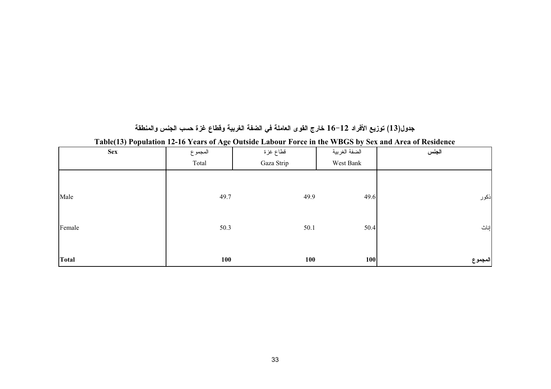|  |  |  | جدول(13) توزيع الأفراد 12–16 خارج القوى العاملة في الضفة الغربية وقطاع غزة حسب الجنس والمنطقة |
|--|--|--|-----------------------------------------------------------------------------------------------|
|--|--|--|-----------------------------------------------------------------------------------------------|

| $\sim$ $\sim$ $\sim$<br><b>Sex</b> | $\tilde{\phantom{a}}$<br>المجموع | قطاع غزة   | $\cdot$<br>الضفة الغربية | الجنس   |
|------------------------------------|----------------------------------|------------|--------------------------|---------|
|                                    | Total                            | Gaza Strip | West Bank                |         |
|                                    |                                  |            |                          |         |
| Male                               | 49.7                             | 49.9       | 49.6                     | ذكور    |
| Female                             | 50.3                             | 50.1       | 50.4                     | إناث    |
| Total                              | 100                              | 100        | 100                      | المجموع |

Table(13) Population 12-16 Years of Age Outside Labour Force in the WBGS by Sex and Area of Residence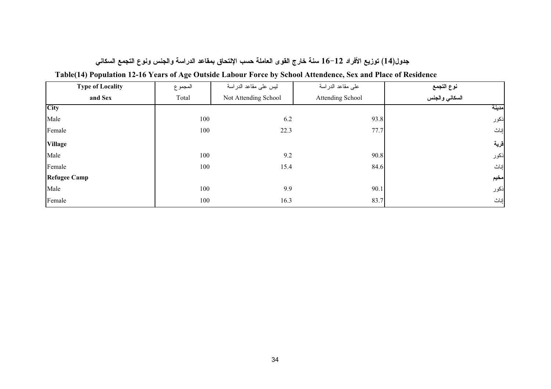### جدول(14) توزيع الأفراد 12–16 سنة خارج القوى العاملة حسب الإلتحاق بمقاعد الدراسة والجنس ونوع التجمع السكاني

| <b>Type of Locality</b> | المجموع | ليس على مقاعد الدراسة | على مقاعد الدراسة | نوع التجمع     |
|-------------------------|---------|-----------------------|-------------------|----------------|
| and Sex                 | Total   | Not Attending School  | Attending School  | السكاني والجنس |
| <b>City</b>             |         |                       |                   | مدينة          |
| Male                    | 100     | 6.2                   | 93.8              | ذكور           |
| Female                  | 100     | 22.3                  | 77.7              | إناث           |
| <b>Village</b>          |         |                       |                   | قرية           |
| Male                    | 100     | 9.2                   | 90.8              | ذكور           |
| Female                  | 100     | 15.4                  | 84.6              | إناث           |
| <b>Refugee Camp</b>     |         |                       |                   | مخيم           |
| Male                    | 100     | 9.9                   | 90.1              | ذكور           |
| Female                  | 100     | 16.3                  | 83.7              | إناث           |

### Table(14) Population 12-16 Years of Age Outside Labour Force by School Attendence, Sex and Place of Residence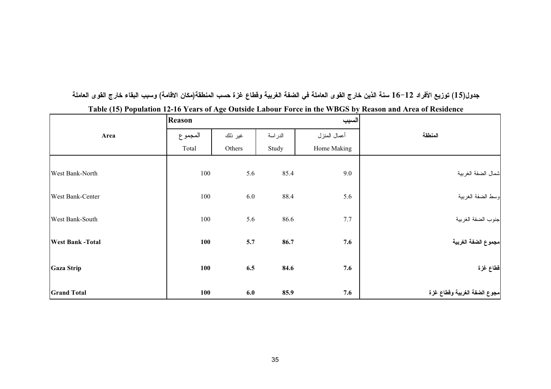|  |  | جدول(15) توزيع الأفراد 12–16 سنة الذين خارج القوى العاملة في الضفة الغربية وقطاع غزة حسب المنطقة(مكان الاقامة) وسبب البقاء خارج القوى العاملة |  |  |
|--|--|-----------------------------------------------------------------------------------------------------------------------------------------------|--|--|
|--|--|-----------------------------------------------------------------------------------------------------------------------------------------------|--|--|

|                         | Reason     |         |         | السبب        |                              |
|-------------------------|------------|---------|---------|--------------|------------------------------|
| Area                    | المجموع    | غير ذلك | الدراسة | أعمال المنزل | المنطقة                      |
|                         | Total      | Others  | Study   | Home Making  |                              |
| West Bank-North         | 100        | 5.6     | 85.4    | 9.0          | شمال الضفة الغربية           |
| West Bank-Center        | 100        | 6.0     | 88.4    | 5.6          | وسط الضفة الغربية            |
| West Bank-South         | 100        | 5.6     | 86.6    | 7.7          | جنوب الضفة الغربية           |
| <b>West Bank -Total</b> | 100        | 5.7     | 86.7    | 7.6          | مجموع الضفة الغربية          |
| <b>Gaza Strip</b>       | 100        | 6.5     | 84.6    | 7.6          | قطاع غزة                     |
| <b>Grand Total</b>      | <b>100</b> | 6.0     | 85.9    | 7.6          | مجوع الضفة الغربية وقطاع غزة |

Table (15) Population 12-16 Years of Age Outside Labour Force in the WBGS by Reason and Area of Residence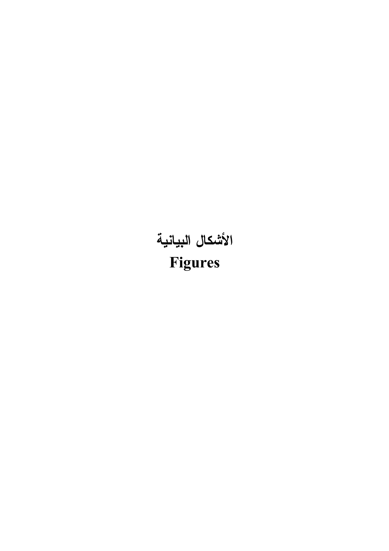# <span id="page-31-0"></span>الأشكال البيانية Figures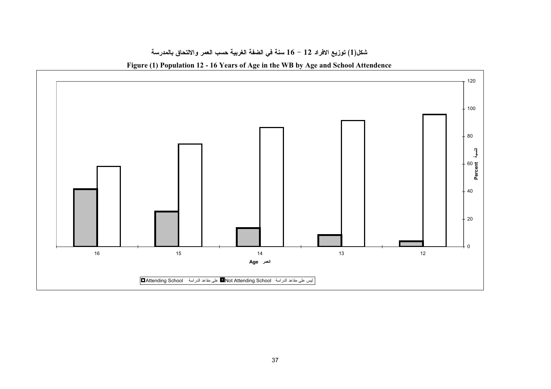

### شكل(1) توزيع الافراد 12 – 16 سنة في الضفة الغربية حسب العمر والالتحاق بالمدرسة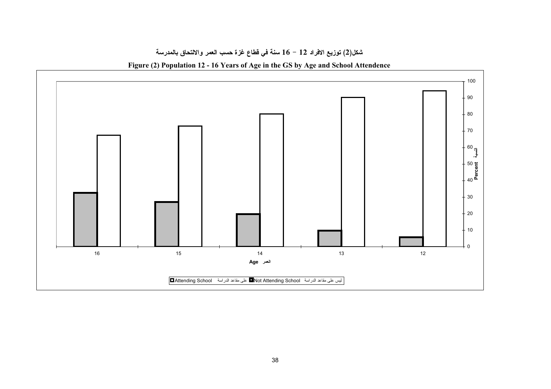

### شكل(2) توزيع الافراد 12 – 16 سنة في فطاع غزة حسب العمر والالتحاق بالمدرسة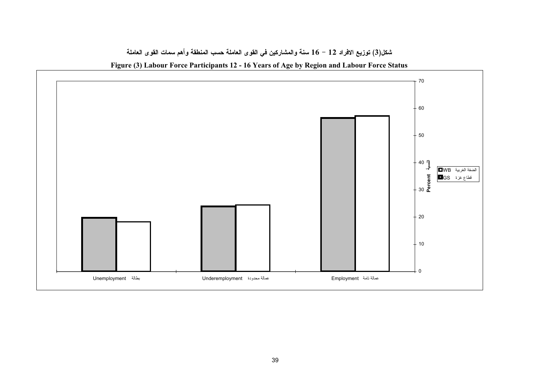



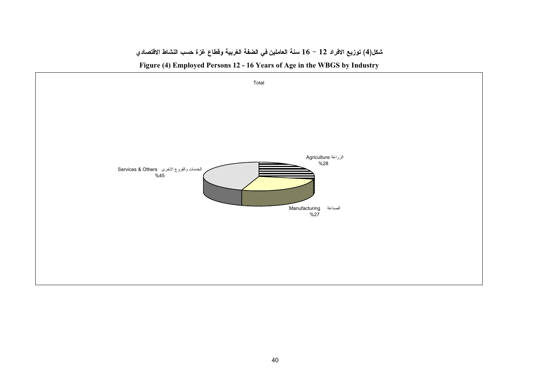### شكل(4) توزيع الافراد 12 – 16 سنة العاملين في الضفة الغربية وقطاع غزة حسب النشاط الاقتصادي



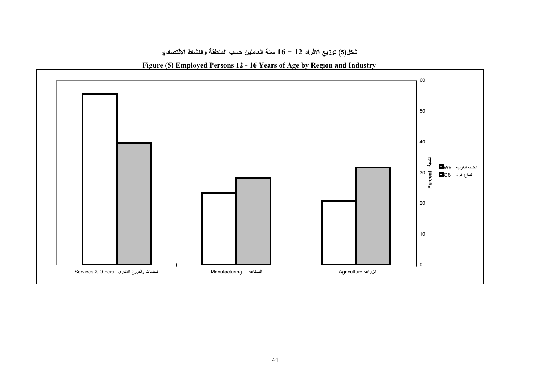### شكل(5) توزيع الافراد 12 – 16 سنة العاملين حسب المنطقة والنشاط الاقتصادي



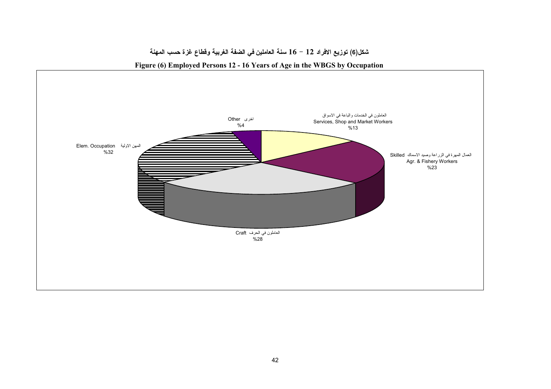

### شكل(6) توزيع الافراد 12 – 16 سنة العاملين في الضفة الغربية وقطاع غزة حسب المهنة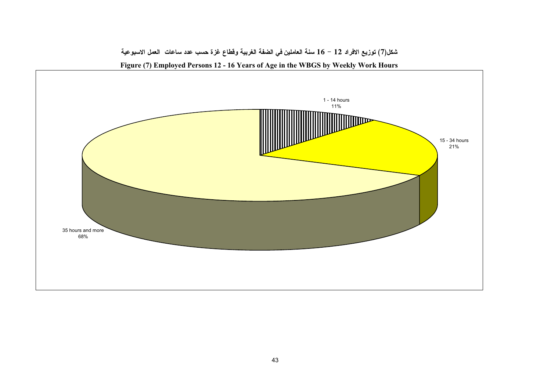

شكل(7) توزيع الافراد 12 – 16 سنة العاملين في الضفة الغربية وفطاع غزة حسب عدد ساعات العمل الاسبوعية Figure (7) Employed Persons 12 - 16 Years of Age in the WBGS by Weekly Work Hours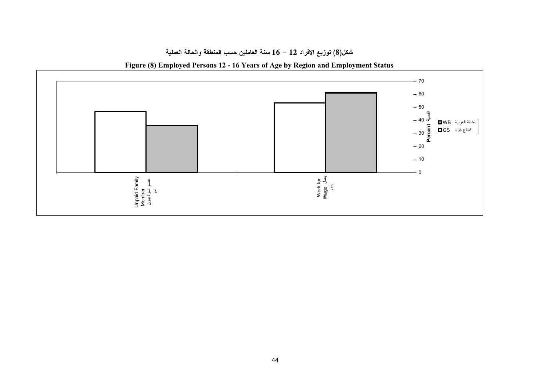### شكل(8) توزيع الافراد 12 – 16 سنة العاملين حسب المنطقة والحالة العملية

Figure (8) Employed Persons 12 - 16 Years of Age by Region and Employment Status

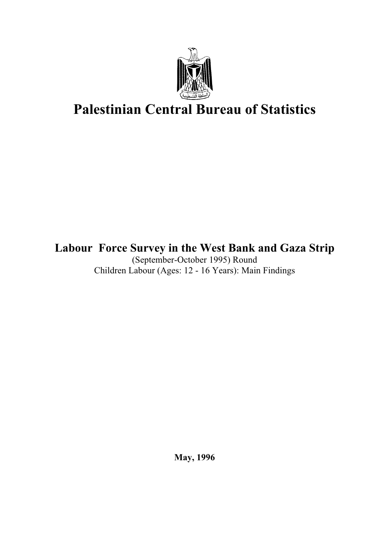

# **Palestinian Central Bureau of Statistics**

### Labour Force Survey in the West Bank and Gaza Strip

(September-October 1995) Round Children Labour (Ages: 12 - 16 Years): Main Findings

**May, 1996**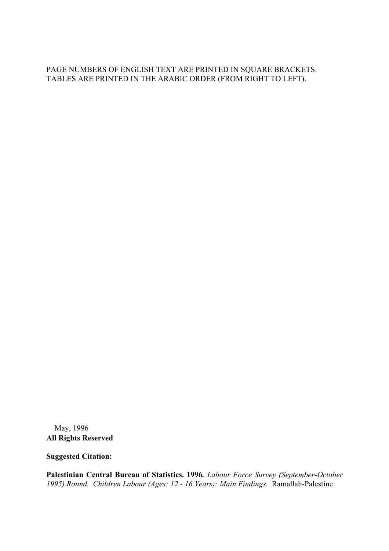PAGE NUMBERS OF ENGLISH TEXT ARE PRINTED IN SQUARE BRACKETS. TABLES ARE PRINTED IN THE ARABIC ORDER (FROM RIGHT TO LEFT).

© May, 1996 **All Rights Reserved** 

**Suggested Citation:** 

Palestinian Central Bureau of Statistics. 1996. Labour Force Survey (September-October 1995) Round. Children Labour (Ages: 12 - 16 Years): Main Findings. Ramallah-Palestine.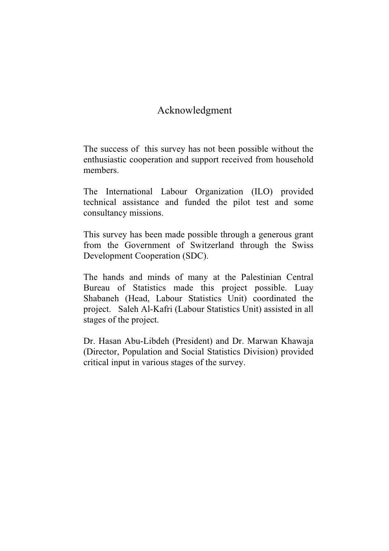### Acknowledgment

The success of this survey has not been possible without the enthusiastic cooperation and support received from household members.

The International Labour Organization (ILO) provided technical assistance and funded the pilot test and some consultancy missions.

This survey has been made possible through a generous grant from the Government of Switzerland through the Swiss Development Cooperation (SDC).

The hands and minds of many at the Palestinian Central Bureau of Statistics made this project possible. Luay Shabaneh (Head, Labour Statistics Unit) coordinated the project. Saleh Al-Kafri (Labour Statistics Unit) assisted in all stages of the project.

Dr. Hasan Abu-Libdeh (President) and Dr. Marwan Khawaja (Director, Population and Social Statistics Division) provided critical input in various stages of the survey.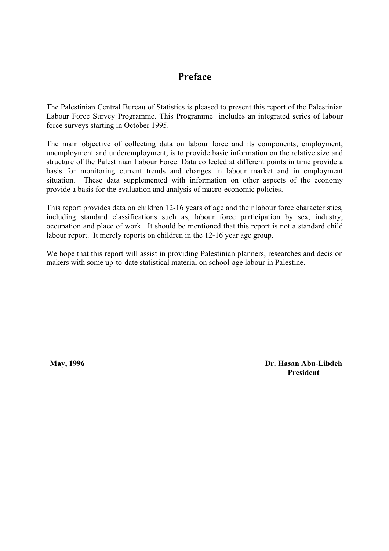### Preface

The Palestinian Central Bureau of Statistics is pleased to present this report of the Palestinian Labour Force Survey Programme. This Programme includes an integrated series of labour force surveys starting in October 1995.

The main objective of collecting data on labour force and its components, employment, unemployment and underemployment, is to provide basic information on the relative size and structure of the Palestinian Labour Force. Data collected at different points in time provide a basis for monitoring current trends and changes in labour market and in employment These data supplemented with information on other aspects of the economy situation. provide a basis for the evaluation and analysis of macro-economic policies.

This report provides data on children 12-16 years of age and their labour force characteristics, including standard classifications such as, labour force participation by sex, industry, occupation and place of work. It should be mentioned that this report is not a standard child labour report. It merely reports on children in the 12-16 year age group.

We hope that this report will assist in providing Palestinian planners, researches and decision makers with some up-to-date statistical material on school-age labour in Palestine.

May, 1996

Dr. Hasan Abu-Libdeh **President**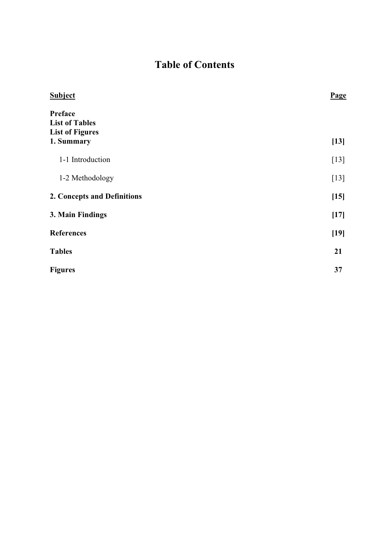### **Table of Contents**

| Preface<br><b>List of Tables</b><br><b>List of Figures</b><br>1. Summary<br>1-1 Introduction<br>1-2 Methodology<br>2. Concepts and Definitions<br>3. Main Findings<br><b>References</b><br><b>Tables</b><br>21<br><b>Figures</b><br>37 | <b>Subject</b> | Page   |
|----------------------------------------------------------------------------------------------------------------------------------------------------------------------------------------------------------------------------------------|----------------|--------|
|                                                                                                                                                                                                                                        |                | $[13]$ |
|                                                                                                                                                                                                                                        |                | $[13]$ |
|                                                                                                                                                                                                                                        |                | $[13]$ |
|                                                                                                                                                                                                                                        |                | $[15]$ |
|                                                                                                                                                                                                                                        |                | $[17]$ |
|                                                                                                                                                                                                                                        |                | $[19]$ |
|                                                                                                                                                                                                                                        |                |        |
|                                                                                                                                                                                                                                        |                |        |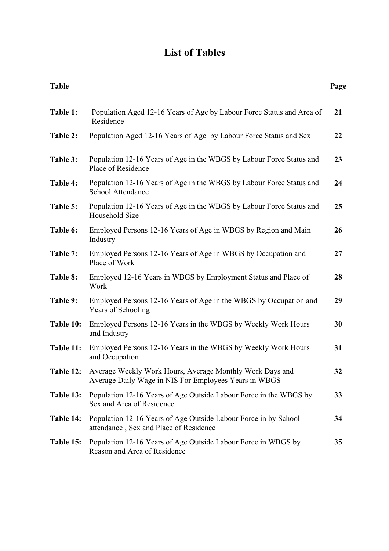### **List of Tables**

<span id="page-45-0"></span>

| <b>Table</b> |                                                                                                                   | <b>Page</b> |
|--------------|-------------------------------------------------------------------------------------------------------------------|-------------|
| Table 1:     | Population Aged 12-16 Years of Age by Labour Force Status and Area of<br>Residence                                | 21          |
| Table 2:     | Population Aged 12-16 Years of Age by Labour Force Status and Sex                                                 | 22          |
| Table 3:     | Population 12-16 Years of Age in the WBGS by Labour Force Status and<br>Place of Residence                        | 23          |
| Table 4:     | Population 12-16 Years of Age in the WBGS by Labour Force Status and<br><b>School Attendance</b>                  | 24          |
| Table 5:     | Population 12-16 Years of Age in the WBGS by Labour Force Status and<br>Household Size                            | 25          |
| Table 6:     | Employed Persons 12-16 Years of Age in WBGS by Region and Main<br>Industry                                        | 26          |
| Table 7:     | Employed Persons 12-16 Years of Age in WBGS by Occupation and<br>Place of Work                                    | 27          |
| Table 8:     | Employed 12-16 Years in WBGS by Employment Status and Place of<br>Work                                            | 28          |
| Table 9:     | Employed Persons 12-16 Years of Age in the WBGS by Occupation and<br>Years of Schooling                           | 29          |
| Table 10:    | Employed Persons 12-16 Years in the WBGS by Weekly Work Hours<br>and Industry                                     | 30          |
| Table 11:    | Employed Persons 12-16 Years in the WBGS by Weekly Work Hours<br>and Occupation                                   | 31          |
| Table 12:    | Average Weekly Work Hours, Average Monthly Work Days and<br>Average Daily Wage in NIS For Employees Years in WBGS | 32          |
| Table 13:    | Population 12-16 Years of Age Outside Labour Force in the WBGS by<br>Sex and Area of Residence                    | 33          |
| Table 14:    | Population 12-16 Years of Age Outside Labour Force in by School<br>attendance, Sex and Place of Residence         | 34          |
| Table 15:    | Population 12-16 Years of Age Outside Labour Force in WBGS by<br>Reason and Area of Residence                     | 35          |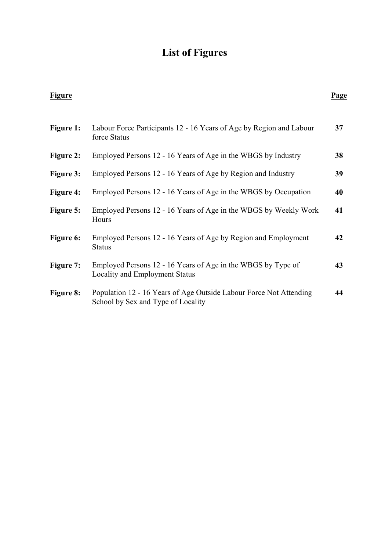## **List of Figures**

<span id="page-46-0"></span>

| <b>Figure</b>    |                                                                                                          | Page |
|------------------|----------------------------------------------------------------------------------------------------------|------|
| <b>Figure 1:</b> | Labour Force Participants 12 - 16 Years of Age by Region and Labour<br>force Status                      | 37   |
| <b>Figure 2:</b> | Employed Persons 12 - 16 Years of Age in the WBGS by Industry                                            | 38   |
| <b>Figure 3:</b> | Employed Persons 12 - 16 Years of Age by Region and Industry                                             | 39   |
| <b>Figure 4:</b> | Employed Persons 12 - 16 Years of Age in the WBGS by Occupation                                          | 40   |
| <b>Figure 5:</b> | Employed Persons 12 - 16 Years of Age in the WBGS by Weekly Work<br>Hours                                | 41   |
| <b>Figure 6:</b> | Employed Persons 12 - 16 Years of Age by Region and Employment<br><b>Status</b>                          | 42   |
| Figure 7:        | Employed Persons 12 - 16 Years of Age in the WBGS by Type of<br>Locality and Employment Status           | 43   |
| Figure 8:        | Population 12 - 16 Years of Age Outside Labour Force Not Attending<br>School by Sex and Type of Locality | 44   |
|                  |                                                                                                          |      |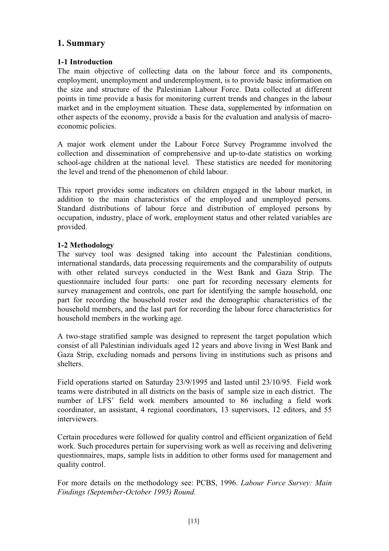### <span id="page-47-0"></span>1. Summary

### 1-1 Introduction

The main objective of collecting data on the labour force and its components, employment, unemployment and underemployment, is to provide basic information on the size and structure of the Palestinian Labour Force. Data collected at different points in time provide a basis for monitoring current trends and changes in the labour market and in the employment situation. These data, supplemented by information on other aspects of the economy, provide a basis for the evaluation and analysis of macroeconomic policies.

A major work element under the Labour Force Survey Programme involved the collection and dissemination of comprehensive and up-to-date statistics on working school-age children at the national level. These statistics are needed for monitoring the level and trend of the phenomenon of child labour.

This report provides some indicators on children engaged in the labour market, in addition to the main characteristics of the employed and unemployed persons. Standard distributions of labour force and distribution of employed persons by occupation, industry, place of work, employment status and other related variables are provided.

### 1-2 Methodology

The survey tool was designed taking into account the Palestinian conditions, international standards, data processing requirements and the comparability of outputs with other related surveys conducted in the West Bank and Gaza Strip. The questionnaire included four parts: one part for recording necessary elements for survey management and controls, one part for identifying the sample household, one part for recording the household roster and the demographic characteristics of the household members, and the last part for recording the labour force characteristics for household members in the working age.

A two-stage stratified sample was designed to represent the target population which consist of all Palestinian individuals aged 12 years and above living in West Bank and Gaza Strip, excluding nomads and persons living in institutions such as prisons and shelters

Field operations started on Saturday 23/9/1995 and lasted until 23/10/95. Field work teams were distributed in all districts on the basis of sample size in each district. The number of LFS' field work members amounted to 86 including a field work coordinator, an assistant, 4 regional coordinators, 13 supervisors, 12 editors, and 55 interviewers.

Certain procedures were followed for quality control and efficient organization of field work. Such procedures pertain for supervising work as well as receiving and delivering questionnaires, maps, sample lists in addition to other forms used for management and quality control.

For more details on the methodology see: PCBS, 1996. Labour Force Survey: Main Findings (September-October 1995) Round.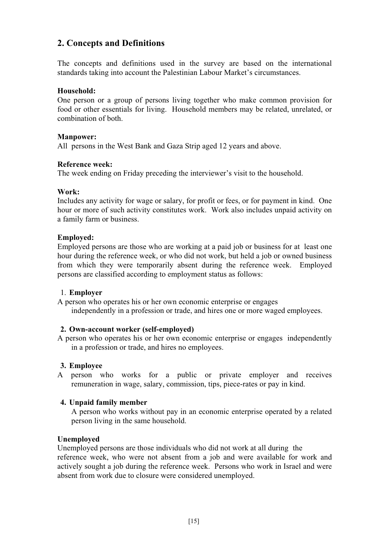### <span id="page-49-0"></span>2. Concepts and Definitions

The concepts and definitions used in the survey are based on the international standards taking into account the Palestinian Labour Market's circumstances.

#### Household:

One person or a group of persons living together who make common provision for food or other essentials for living. Household members may be related, unrelated, or combination of both.

#### **Manpower:**

All persons in the West Bank and Gaza Strip aged 12 years and above.

### Reference week:

The week ending on Friday preceding the interviewer's visit to the household.

### Work:

Includes any activity for wage or salary, for profit or fees, or for payment in kind. One hour or more of such activity constitutes work. Work also includes unpaid activity on a family farm or business.

### **Employed:**

Employed persons are those who are working at a paid job or business for at least one hour during the reference week, or who did not work, but held a job or owned business from which they were temporarily absent during the reference week. Employed persons are classified according to employment status as follows:

#### 1. Employer

A person who operates his or her own economic enterprise or engages independently in a profession or trade, and hires one or more waged employees.

#### 2. Own-account worker (self-employed)

A person who operates his or her own economic enterprise or engages independently in a profession or trade, and hires no employees.

### 3. Employee

A person who works for a public or private employer and receives remuneration in wage, salary, commission, tips, piece-rates or pay in kind.

#### 4. Unpaid family member

A person who works without pay in an economic enterprise operated by a related person living in the same household.

#### Unemployed

Unemployed persons are those individuals who did not work at all during the reference week, who were not absent from a job and were available for work and actively sought a job during the reference week. Persons who work in Israel and were absent from work due to closure were considered unemployed.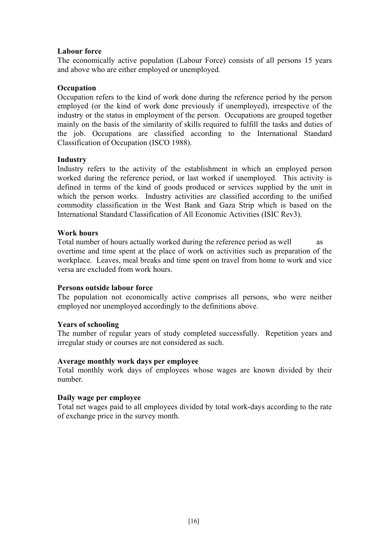#### **Labour force**

The economically active population (Labour Force) consists of all persons 15 years and above who are either employed or unemployed.

### Occupation

Occupation refers to the kind of work done during the reference period by the person employed (or the kind of work done previously if unemployed), irrespective of the industry or the status in employment of the person. Occupations are grouped together mainly on the basis of the similarity of skills required to fulfill the tasks and duties of the job. Occupations are classified according to the International Standard Classification of Occupation (ISCO 1988).

#### **Industry**

Industry refers to the activity of the establishment in which an employed person worked during the reference period, or last worked if unemployed. This activity is defined in terms of the kind of goods produced or services supplied by the unit in which the person works. Industry activities are classified according to the unified commodity classification in the West Bank and Gaza Strip which is based on the International Standard Classification of All Economic Activities (ISIC Rev3).

#### **Work hours**

Total number of hours actually worked during the reference period as well as overtime and time spent at the place of work on activities such as preparation of the workplace. Leaves, meal breaks and time spent on travel from home to work and vice versa are excluded from work hours.

#### Persons outside labour force

The population not economically active comprises all persons, who were neither employed nor unemployed accordingly to the definitions above.

#### **Years of schooling**

The number of regular years of study completed successfully. Repetition years and irregular study or courses are not considered as such.

#### Average monthly work days per employee

Total monthly work days of employees whose wages are known divided by their number

#### Daily wage per employee

Total net wages paid to all employees divided by total work-days according to the rate of exchange price in the survey month.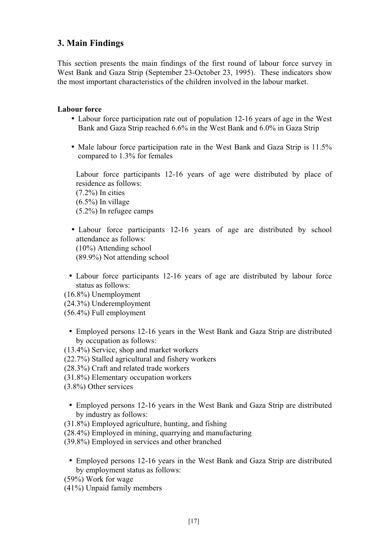### <span id="page-51-0"></span>3. Main Findings

This section presents the main findings of the first round of labour force survey in West Bank and Gaza Strip (September 23-October 23, 1995). These indicators show the most important characteristics of the children involved in the labour market.

### **Labour force**

- Labour force participation rate out of population 12-16 years of age in the West Bank and Gaza Strip reached 6.6% in the West Bank and 6.0% in Gaza Strip
- Male labour force participation rate in the West Bank and Gaza Strip is 11.5% compared to 1.3% for females

Labour force participants 12-16 years of age were distributed by place of residence as follows:  $(7.2\%)$  In cities  $(6.5\%)$  In village  $(5.2\%)$  In refugee camps

- Labour force participants 12-16 years of age are distributed by school attendance as follows:  $(10\%)$  Attending school  $(89.9\%)$  Not attending school
- Labour force participants 12-16 years of age are distributed by labour force status as follows:

 $(16.8\%)$  Unemployment

(24.3%) Underemployment

 $(56.4\%)$  Full employment

• Employed persons 12-16 years in the West Bank and Gaza Strip are distributed by occupation as follows:

(13.4%) Service, shop and market workers

- (22.7%) Stalled agricultural and fishery workers
- (28.3%) Craft and related trade workers
- $(31.8\%)$  Elementary occupation workers
- $(3.8\%)$  Other services
	- Employed persons 12-16 years in the West Bank and Gaza Strip are distributed by industry as follows:
- $(31.8\%)$  Employed agriculture, hunting, and fishing
- (28.4%) Employed in mining, quarrying and manufacturing
- $(39.8\%)$  Employed in services and other branched
	- Employed persons 12-16 years in the West Bank and Gaza Strip are distributed by employment status as follows:
- $(59\%)$  Work for wage
- $(41\%)$  Unpaid family members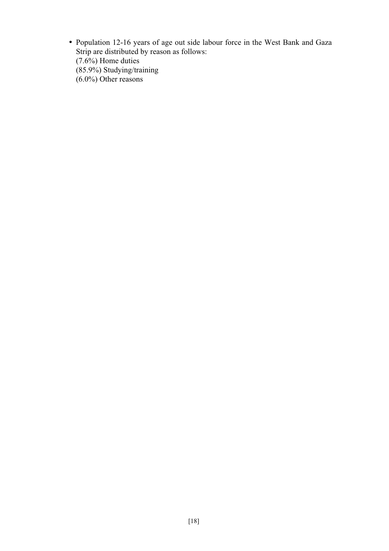• Population 12-16 years of age out side labour force in the West Bank and Gaza Strip are distributed by reason as follows:  $(7.6\%)$  Home duties  $(85.9\%)$  Studying/training  $(6.0\%)$  Other reasons